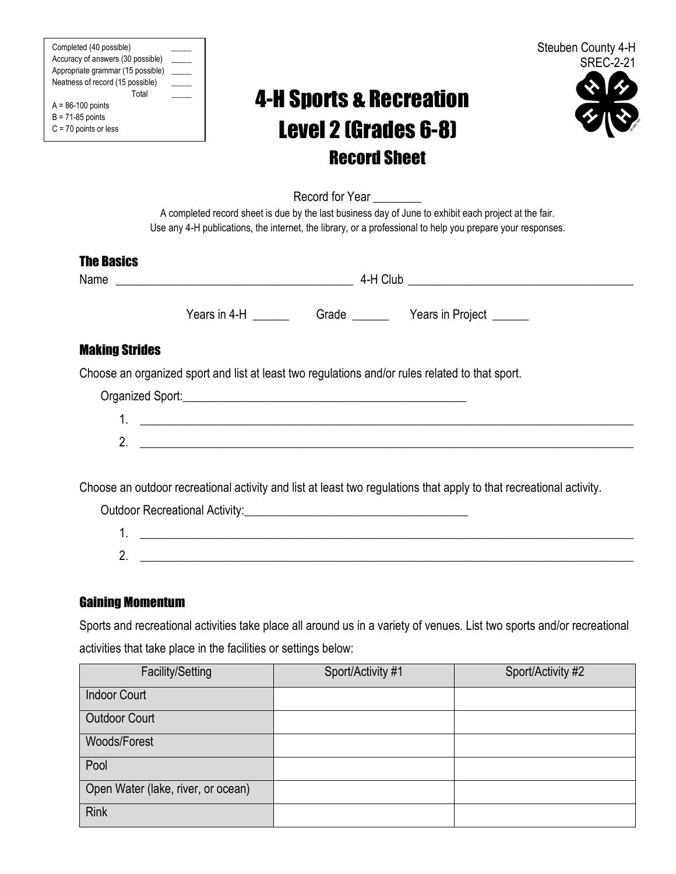| Completed (40 possible)           |  |
|-----------------------------------|--|
| Accuracy of answers (30 possible) |  |
| Appropriate grammar (15 possible) |  |
| Neatness of record (15 possible)  |  |
| Total                             |  |
| $A = 86-100$ points               |  |
| $B = 71-85$ points                |  |
| $C = 70$ points or less           |  |

# 4-H Sports & Recreation Level 2 (Grades 6-8) Record Sheet



Record for Year

A completed record sheet is due by the last business day of June to exhibit each project at the fair. Use any 4-H publications, the internet, the library, or a professional to help you prepare your responses.

### The Basics

Name  $4-H$  Club Years in 4-H \_\_\_\_\_\_ Grade \_\_\_\_\_ Years in Project \_\_\_\_\_ Making Strides Choose an organized sport and list at least two regulations and/or rules related to that sport. Organized Sport:\_\_\_\_\_\_\_\_\_\_\_\_\_\_\_\_\_\_\_\_\_\_\_\_\_\_\_\_\_\_\_\_\_\_\_\_\_\_\_\_\_\_\_\_\_\_\_ 1. \_\_\_\_\_\_\_\_\_\_\_\_\_\_\_\_\_\_\_\_\_\_\_\_\_\_\_\_\_\_\_\_\_\_\_\_\_\_\_\_\_\_\_\_\_\_\_\_\_\_\_\_\_\_\_\_\_\_\_\_\_\_\_\_\_\_\_\_\_\_\_\_\_\_\_\_\_\_\_\_\_  $2.$ 

Choose an outdoor recreational activity and list at least two regulations that apply to that recreational activity.

Outdoor Recreational Activity: <u>example</u> and the control of the control of the control of the control of the control of the control of the control of the control of the control of the control of the control of the control 1. \_\_\_\_\_\_\_\_\_\_\_\_\_\_\_\_\_\_\_\_\_\_\_\_\_\_\_\_\_\_\_\_\_\_\_\_\_\_\_\_\_\_\_\_\_\_\_\_\_\_\_\_\_\_\_\_\_\_\_\_\_\_\_\_\_\_\_\_\_\_\_\_\_\_\_\_\_\_\_\_\_ 2. \_\_\_\_\_\_\_\_\_\_\_\_\_\_\_\_\_\_\_\_\_\_\_\_\_\_\_\_\_\_\_\_\_\_\_\_\_\_\_\_\_\_\_\_\_\_\_\_\_\_\_\_\_\_\_\_\_\_\_\_\_\_\_\_\_\_\_\_\_\_\_\_\_\_\_\_\_\_\_\_\_

## Gaining Momentum

Sports and recreational activities take place all around us in a variety of venues. List two sports and/or recreational activities that take place in the facilities or settings below:

| Facility/Setting                   | Sport/Activity #1 | Sport/Activity #2 |
|------------------------------------|-------------------|-------------------|
| <b>Indoor Court</b>                |                   |                   |
| <b>Outdoor Court</b>               |                   |                   |
| Woods/Forest                       |                   |                   |
| Pool                               |                   |                   |
| Open Water (lake, river, or ocean) |                   |                   |
| <b>Rink</b>                        |                   |                   |